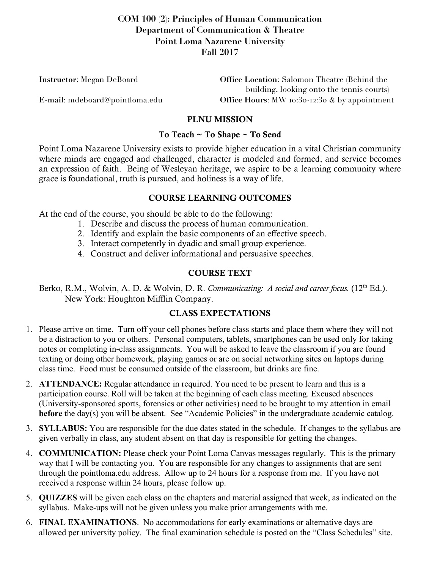## **COM 100 (2): Principles of Human Communication Department of Communication & Theatre Point Loma Nazarene University Fall 2017**

| <b>Instructor:</b> Megan DeBoard | <b>Office Location:</b> Salomon Theatre (Behind the |
|----------------------------------|-----------------------------------------------------|
|                                  | building, looking onto the tennis courts)           |
| E-mail: mdeboard@pointloma.edu   | Office Hours: MW 10:30-12:30 $\&$ by appointment    |

## PLNU MISSION

### To Teach ~ To Shape ~ To Send

Point Loma Nazarene University exists to provide higher education in a vital Christian community where minds are engaged and challenged, character is modeled and formed, and service becomes an expression of faith. Being of Wesleyan heritage, we aspire to be a learning community where grace is foundational, truth is pursued, and holiness is a way of life.

## COURSE LEARNING OUTCOMES

At the end of the course, you should be able to do the following:

- 1. Describe and discuss the process of human communication.
- 2. Identify and explain the basic components of an effective speech.
- 3. Interact competently in dyadic and small group experience.
- 4. Construct and deliver informational and persuasive speeches.

# COURSE TEXT

Berko, R.M., Wolvin, A. D. & Wolvin, D. R. *Communicating: A social and career focus.* (12<sup>th</sup> Ed.). New York: Houghton Mifflin Company.

## CLASS EXPECTATIONS

- 1. Please arrive on time. Turn off your cell phones before class starts and place them where they will not be a distraction to you or others. Personal computers, tablets, smartphones can be used only for taking notes or completing in-class assignments. You will be asked to leave the classroom if you are found texting or doing other homework, playing games or are on social networking sites on laptops during class time. Food must be consumed outside of the classroom, but drinks are fine.
- 2. **ATTENDANCE:** Regular attendance in required. You need to be present to learn and this is a participation course. Roll will be taken at the beginning of each class meeting. Excused absences (University-sponsored sports, forensics or other activities) need to be brought to my attention in email **before** the day(s) you will be absent. See "Academic Policies" in the undergraduate academic catalog.
- 3. **SYLLABUS:** You are responsible for the due dates stated in the schedule. If changes to the syllabus are given verbally in class, any student absent on that day is responsible for getting the changes.
- 4. **COMMUNICATION:** Please check your Point Loma Canvas messages regularly. This is the primary way that I will be contacting you. You are responsible for any changes to assignments that are sent through the pointloma.edu address. Allow up to 24 hours for a response from me. If you have not received a response within 24 hours, please follow up.
- 5. **QUIZZES** will be given each class on the chapters and material assigned that week, as indicated on the syllabus. Make-ups will not be given unless you make prior arrangements with me.
- 6. **FINAL EXAMINATIONS**. No accommodations for early examinations or alternative days are allowed per university policy. The final examination schedule is posted on the "Class Schedules" site.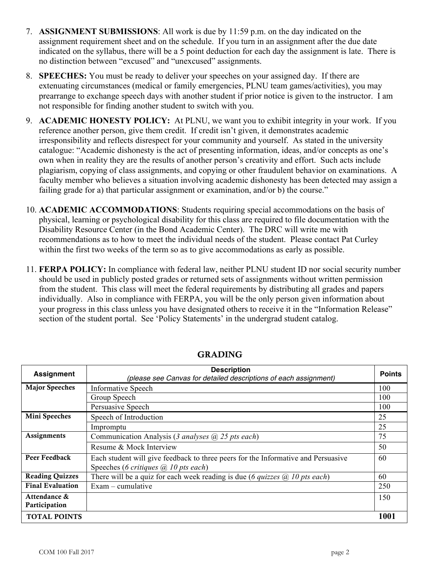- 7. **ASSIGNMENT SUBMISSIONS**: All work is due by 11:59 p.m. on the day indicated on the assignment requirement sheet and on the schedule. If you turn in an assignment after the due date indicated on the syllabus, there will be a 5 point deduction for each day the assignment is late. There is no distinction between "excused" and "unexcused" assignments.
- 8. **SPEECHES:** You must be ready to deliver your speeches on your assigned day. If there are extenuating circumstances (medical or family emergencies, PLNU team games/activities), you may prearrange to exchange speech days with another student if prior notice is given to the instructor. I am not responsible for finding another student to switch with you.
- 9. **ACADEMIC HONESTY POLICY:** At PLNU, we want you to exhibit integrity in your work. If you reference another person, give them credit. If credit isn't given, it demonstrates academic irresponsibility and reflects disrespect for your community and yourself. As stated in the university catalogue: "Academic dishonesty is the act of presenting information, ideas, and/or concepts as one's own when in reality they are the results of another person's creativity and effort. Such acts include plagiarism, copying of class assignments, and copying or other fraudulent behavior on examinations. A faculty member who believes a situation involving academic dishonesty has been detected may assign a failing grade for a) that particular assignment or examination, and/or b) the course."
- 10. **ACADEMIC ACCOMMODATIONS**: Students requiring special accommodations on the basis of physical, learning or psychological disability for this class are required to file documentation with the Disability Resource Center (in the Bond Academic Center). The DRC will write me with recommendations as to how to meet the individual needs of the student. Please contact Pat Curley within the first two weeks of the term so as to give accommodations as early as possible.
- 11. **FERPA POLICY:** In compliance with federal law, neither PLNU student ID nor social security number should be used in publicly posted grades or returned sets of assignments without written permission from the student. This class will meet the federal requirements by distributing all grades and papers individually. Also in compliance with FERPA, you will be the only person given information about your progress in this class unless you have designated others to receive it in the "Information Release" section of the student portal. See 'Policy Statements' in the undergrad student catalog.

| <b>Assignment</b>       | <b>Description</b><br>(please see Canvas for detailed descriptions of each assignment)      |      |
|-------------------------|---------------------------------------------------------------------------------------------|------|
| <b>Major Speeches</b>   | <b>Informative Speech</b>                                                                   | 100  |
|                         | Group Speech                                                                                | 100  |
|                         | Persuasive Speech                                                                           | 100  |
| Mini Speeches           | Speech of Introduction                                                                      | 25   |
|                         | Impromptu                                                                                   | 25   |
| <b>Assignments</b>      | Communication Analysis (3 analyses $(a)$ 25 pts each)                                       | 75   |
|                         | Resume & Mock Interview                                                                     | 50   |
| Peer Feedback           | Each student will give feedback to three peers for the Informative and Persuasive           | 60   |
|                         | Speeches (6 critiques $(a)$ 10 pts each)                                                    |      |
| <b>Reading Quizzes</b>  | There will be a quiz for each week reading is due (6 <i>quizzes</i> $\omega$ ) 10 pts each) | 60   |
| <b>Final Evaluation</b> | $Exam$ – cumulative                                                                         | 250  |
| Attendance &            |                                                                                             | 150  |
| Participation           |                                                                                             |      |
| <b>TOTAL POINTS</b>     |                                                                                             | 1001 |

GRADING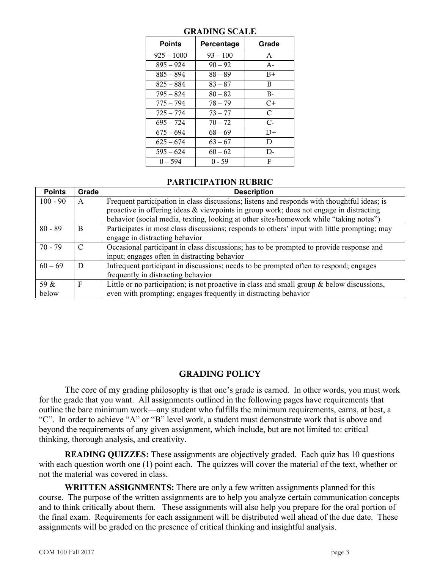| <b>Points</b> | Percentage | Grade |
|---------------|------------|-------|
| $925 - 1000$  | $93 - 100$ | A     |
| 895 – 924     | $90 - 92$  | $A -$ |
| 885 – 894     | 88 – 89    | $B+$  |
| $825 - 884$   | $83 - 87$  | B     |
| $795 - 824$   | $80 - 82$  | $B -$ |
| 775 – 794     | $78 - 79$  | C+    |
| $725 - 774$   | $73 - 77$  | C     |
| $695 - 724$   | $70 - 72$  | $C-$  |
| $675 - 694$   | $68 - 69$  | $D+$  |
| $625 - 674$   | $63 - 67$  | D     |
| $595 - 624$   | $60 - 62$  | D-    |
| $0 - 594$     | $0 - 59$   | F     |

#### **GRADING SCALE**

#### **PARTICIPATION RUBRIC**

| <b>Points</b> | Grade | <b>Description</b>                                                                            |
|---------------|-------|-----------------------------------------------------------------------------------------------|
| $100 - 90$    | A     | Frequent participation in class discussions; listens and responds with thoughtful ideas; is   |
|               |       | proactive in offering ideas & viewpoints in group work; does not engage in distracting        |
|               |       | behavior (social media, texting, looking at other sites/homework while "taking notes")        |
| $80 - 89$     | B     | Participates in most class discussions; responds to others' input with little prompting; may  |
|               |       | engage in distracting behavior                                                                |
| $70 - 79$     | C     | Occasional participant in class discussions; has to be prompted to provide response and       |
|               |       | input; engages often in distracting behavior                                                  |
| $60 - 69$     | D     | Infrequent participant in discussions; needs to be prompted often to respond; engages         |
|               |       | frequently in distracting behavior                                                            |
| 59 &          | F     | Little or no participation; is not proactive in class and small group $\&$ below discussions, |
| below         |       | even with prompting; engages frequently in distracting behavior                               |

## GRADING POLICY

The core of my grading philosophy is that one's grade is earned. In other words, you must work for the grade that you want. All assignments outlined in the following pages have requirements that outline the bare minimum work—any student who fulfills the minimum requirements, earns, at best, a "C". In order to achieve "A" or "B" level work, a student must demonstrate work that is above and beyond the requirements of any given assignment, which include, but are not limited to: critical thinking, thorough analysis, and creativity.

**READING QUIZZES:** These assignments are objectively graded. Each quiz has 10 questions with each question worth one (1) point each. The quizzes will cover the material of the text, whether or not the material was covered in class.

**WRITTEN ASSIGNMENTS:** There are only a few written assignments planned for this course. The purpose of the written assignments are to help you analyze certain communication concepts and to think critically about them. These assignments will also help you prepare for the oral portion of the final exam. Requirements for each assignment will be distributed well ahead of the due date. These assignments will be graded on the presence of critical thinking and insightful analysis.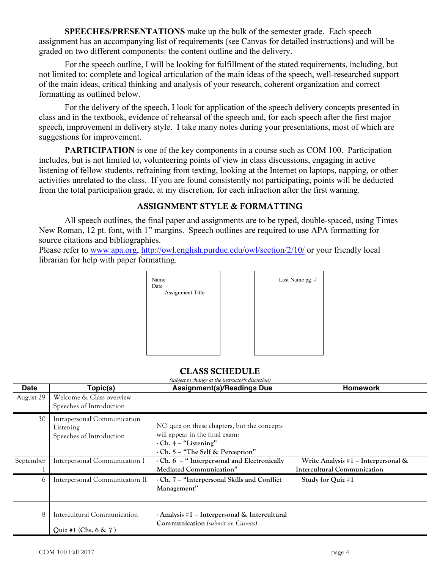**SPEECHES/PRESENTATIONS** make up the bulk of the semester grade. Each speech assignment has an accompanying list of requirements (see Canvas for detailed instructions) and will be graded on two different components: the content outline and the delivery.

For the speech outline, I will be looking for fulfillment of the stated requirements, including, but not limited to: complete and logical articulation of the main ideas of the speech, well-researched support of the main ideas, critical thinking and analysis of your research, coherent organization and correct formatting as outlined below.

For the delivery of the speech, I look for application of the speech delivery concepts presented in class and in the textbook, evidence of rehearsal of the speech and, for each speech after the first major speech, improvement in delivery style. I take many notes during your presentations, most of which are suggestions for improvement.

**PARTICIPATION** is one of the key components in a course such as COM 100. Participation includes, but is not limited to, volunteering points of view in class discussions, engaging in active listening of fellow students, refraining from texting, looking at the Internet on laptops, napping, or other activities unrelated to the class. If you are found consistently not participating, points will be deducted from the total participation grade, at my discretion, for each infraction after the first warning.

## ASSIGNMENT STYLE & FORMATTING

All speech outlines, the final paper and assignments are to be typed, double-spaced, using Times New Roman, 12 pt. font, with 1" margins. Speech outlines are required to use APA formatting for source citations and bibliographies.

Please refer to www.apa.org, http://owl.english.purdue.edu/owl/section/2/10/ or your friendly local librarian for help with paper formatting.





## CLASS SCHEDULE

| Date      | Topic(s)                                                             | <b>Assignment(s)/Readings Due</b>                                                                                                                 | <b>Homework</b>                                                              |
|-----------|----------------------------------------------------------------------|---------------------------------------------------------------------------------------------------------------------------------------------------|------------------------------------------------------------------------------|
| August 29 | Welcome & Class overview<br>Speeches of Introduction                 |                                                                                                                                                   |                                                                              |
| 30        | Intrapersonal Communication<br>Listening<br>Speeches of Introduction | NO quiz on these chapters, but the concepts<br>will appear in the final exam:<br>$\cdot$ Ch. 4 – "Listening"<br>- Ch. 5 - "The Self & Perception" |                                                                              |
| September | Interpersonal Communication I                                        | - Ch. 6 - " Interpersonal and Electronically<br>Mediated Communication"                                                                           | Write Analysis #1 - Interpersonal $\&$<br><b>Intercultural Communication</b> |
| 6         | Interpersonal Communication II                                       | - Ch. 7 - "Interpersonal Skills and Conflict<br>Management"                                                                                       | Study for Quiz #1                                                            |
| 8         | Intercultural Communication<br>Quiz #1 (Chs. $6 \& 7$ )              | - Analysis #1 - Interpersonal & Intercultural<br><b>Communication</b> (submit on Canvas)                                                          |                                                                              |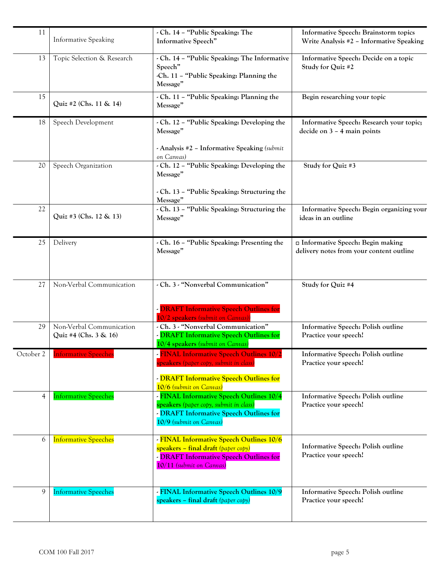| 11        | <b>Informative Speaking</b>                       | - Ch. 14 - "Public Speaking: The<br>Informative Speech"                                                                                                                    | Informative Speech: Brainstorm topics<br>Write Analysis #2 - Informative Speaking |
|-----------|---------------------------------------------------|----------------------------------------------------------------------------------------------------------------------------------------------------------------------------|-----------------------------------------------------------------------------------|
| 13        | Topic Selection & Research                        | - Ch. 14 - "Public Speaking: The Informative<br>Speech"<br>-Ch. 11 - "Public Speaking: Planning the<br>Message"                                                            | Informative Speech: Decide on a topic<br>Study for Quiz #2                        |
| 15        | Quiz #2 (Chs. 11 & 14)                            | - Ch. 11 - "Public Speaking: Planning the<br>Message"                                                                                                                      | Begin researching your topic                                                      |
| 18        | Speech Development                                | - Ch. 12 - "Public Speaking: Developing the<br>Message"<br>- Analysis #2 - Informative Speaking (submit                                                                    | Informative Speech: Research your topic;<br>decide on $3 - 4$ main points         |
| 20        | Speech Organization                               | on Canvas)<br>- Ch. 12 - "Public Speaking: Developing the<br>Message"<br>- Ch. 13 - "Public Speaking: Structuring the<br>Message"                                          | Study for Quiz #3                                                                 |
| 22        | Quiz #3 (Chs. 12 & 13)                            | - Ch. 13 - "Public Speaking: Structuring the<br>Message"                                                                                                                   | Informative Speech: Begin organizing your<br>ideas in an outline                  |
| 25        | Delivery                                          | - Ch. 16 - "Public Speaking: Presenting the<br>Message"                                                                                                                    | Informative Speech: Begin making<br>delivery notes from your content outline      |
| 27        | Non-Verbal Communication                          | - Ch. 3 - "Nonverbal Communication"<br>- DRAFT Informative Speech Outlines for<br>10/2 speakers (submit on Canvas)                                                         | Study for Quiz #4                                                                 |
| 29        | Non-Verbal Communication<br>Quiz #4 (Chs. 3 & 16) | - Ch. 3 - "Nonverbal Communication"<br>- DRAFT Informative Speech Outlines for<br>10/4 speakers (submit on Canvas)                                                         | Informative Speech: Polish outline<br>Practice your speech!                       |
| October 2 | <b>Informative Speeches</b>                       | <b>FINAL Informative Speech Outlines 10/2</b><br><mark>speakers</mark> (paper copy, submit in class)<br>- DRAFT Informative Speech Outlines for<br>10/6 (submit on Canvas) | Informative Speech: Polish outline<br>Practice your speech!                       |
| 4         | <b>Informative Speeches</b>                       | - FINAL Informative Speech Outlines 10/4<br>speakers (paper copy, submit in class)<br>- DRAFT Informative Speech Outlines for<br>10/9 (submit on Canvas)                   | Informative Speech: Polish outline<br>Practice your speech!                       |
| 6         | <b>Informative Speeches</b>                       | - FINAL Informative Speech Outlines 10/6<br>speakers - final draft (paper copy)<br>- DRAFT Informative Speech Outlines for<br>10/11 (submit on Canvas)                     | Informative Speech: Polish outline<br>Practice your speech!                       |
| 9         | <b>Informative Speeches</b>                       | - FINAL Informative Speech Outlines 10/9<br>speakers – final draft (paper copy)                                                                                            | Informative Speech: Polish outline<br>Practice your speech!                       |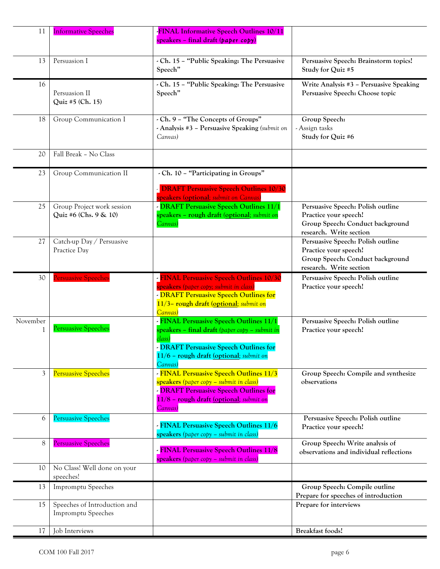| 11       | <b>Informative Speeches</b>                               | <b>FINAL Informative Speech Outlines 10/11</b><br>speakers – final draft (paper copy)                                                                                                                                 |                                                                                                                           |
|----------|-----------------------------------------------------------|-----------------------------------------------------------------------------------------------------------------------------------------------------------------------------------------------------------------------|---------------------------------------------------------------------------------------------------------------------------|
| 13       | Persuasion I                                              | - Ch. 15 - "Public Speaking: The Persuasive<br>Speech"                                                                                                                                                                | Persuasive Speech: Brainstorm topics!<br>Study for Quiz #5                                                                |
| 16       | Persuasion II<br>Quiz #5 (Ch. 15)                         | - Ch. 15 - "Public Speaking: The Persuasive<br>Speech"                                                                                                                                                                | Write Analysis #3 - Persuasive Speaking<br>Persuasive Speech: Choose topic                                                |
| 18       | Group Communication I                                     | - Ch. 9 - "The Concepts of Groups"<br>- Analysis #3 - Persuasive Speaking (submit on<br>Canvas)                                                                                                                       | Group Speech:<br>- Assign tasks<br>Study for Quiz #6                                                                      |
| 20       | Fall Break - No Class                                     |                                                                                                                                                                                                                       |                                                                                                                           |
| 23       | Group Communication II                                    | - Ch. 10 - "Participating in Groups"<br><b>DRAFT Persuasive Speech Outlines 10/30</b><br>speakers (optional; submit on Canvas)                                                                                        |                                                                                                                           |
| 25       | Group Project work session<br>Quiz #6 (Chs. 9 & 10)       | - DRAFT Persuasive Speech Outlines 11/1<br>speakers - rough draft (optional; submit on<br>Canvas)                                                                                                                     | Persuasive Speech: Polish outline<br>Practice your speech!<br>Group Speech: Conduct background<br>research. Write section |
| 27       | Catch-up Day / Persuasive<br>Practice Day                 |                                                                                                                                                                                                                       | Persuasive Speech: Polish outline<br>Practice your speech!<br>Group Speech: Conduct background<br>research. Write section |
| 30       | <b>Persuasive Speeches</b>                                | <b>FINAL Persuasive Speech Outlines 10/30</b><br>speakers (paper copy; submit in class,<br>- DRAFT Persuasive Speech Outlines for<br>11/3- rough draft (optional; submit on<br>Canvas)                                | Persuasive Speech: Polish outline<br>Practice your speech!                                                                |
| November | <b>Persuasive Speeches</b>                                | - FINAL Persuasive Speech Outlines 11/1<br><mark>speakers – final draft</mark> (paper copy – submit in<br>class)<br><b>DRAFT Persuasive Speech Outlines for</b><br>11/6 - rough draft (optional; submit on<br>Canvas) | Persuasive Speech: Polish outline<br>Practice your speech!                                                                |
| 3        | <b>Persuasive Speeches</b>                                | - FINAL Persuasive Speech Outlines 11/3<br>speakers (paper copy - submit in class)<br>- DRAFT Persuasive Speech Outlines for<br>11/8 - rough draft (optional; submit on<br>Canvas)                                    | Group Speech: Compile and synthesize<br>observations                                                                      |
| 6        | <b>Persuasive Speeches</b>                                | - FINAL Persuasive Speech Outlines 11/6<br>speakers (paper copy - submit in class)                                                                                                                                    | Persuasive Speech: Polish outline<br>Practice your speech!                                                                |
| 8        | <b>Persuasive Speeches</b>                                | FINAL Persuasive Speech Outlines 11/8<br>speakers (paper copy - submit in class)                                                                                                                                      | Group Speech: Write analysis of<br>observations and individual reflections                                                |
| 10       | No Class! Well done on your<br>speeches!                  |                                                                                                                                                                                                                       |                                                                                                                           |
| 13       | Impromptu Speeches                                        |                                                                                                                                                                                                                       | Group Speech: Compile outline<br>Prepare for speeches of introduction                                                     |
| 15       | Speeches of Introduction and<br><b>Impromptu Speeches</b> |                                                                                                                                                                                                                       | Prepare for interviews                                                                                                    |
| 17       | Job Interviews                                            |                                                                                                                                                                                                                       | <b>Breakfast foods!</b>                                                                                                   |